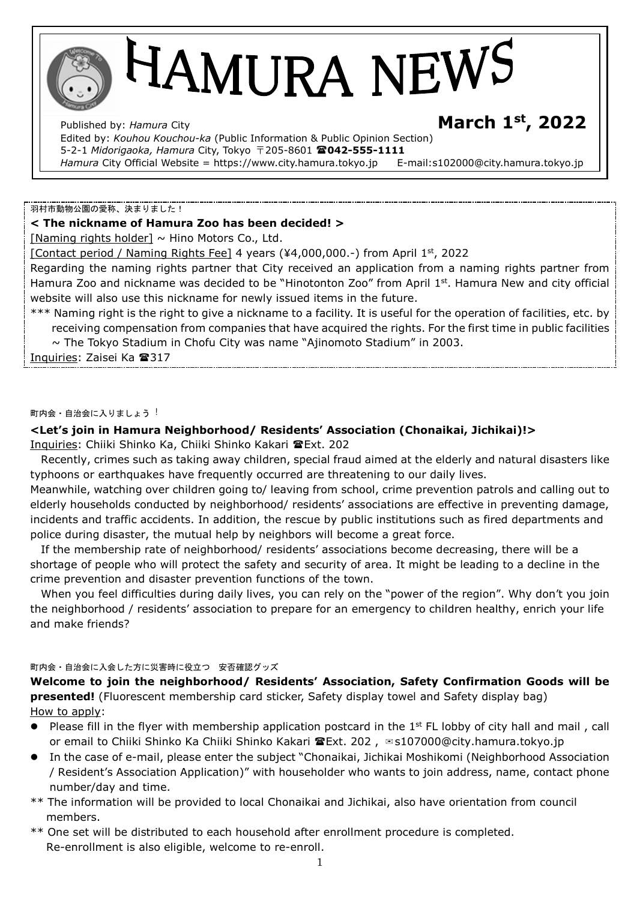# HAMURA NEWS

Published by: *Hamura* City **March 1st, 2022**  Edited by: *Kouhou Kouchou-ka* (Public Information & Public Opinion Section) 5-2-1 *Midorigaoka, Hamura* City, Tokyo 〒205-8601 **042-555-1111**  Hamura City Official Website = https://www.city.hamura.tokyo.jp E-mail:s102000@city.hamura.tokyo.jp

#### 羽村市動物公園の愛称、決まりました!

#### **< The nickname of Hamura Zoo has been decided! >**

[Naming rights holder]  $\sim$  Hino Motors Co., Ltd.

[Contact period / Naming Rights Fee] 4 years (¥4,000,000.-) from April 1st, 2022

Regarding the naming rights partner that City received an application from a naming rights partner from Hamura Zoo and nickname was decided to be "Hinotonton Zoo" from April 1st. Hamura New and city official website will also use this nickname for newly issued items in the future.

\*\*\* Naming right is the right to give a nickname to a facility. It is useful for the operation of facilities, etc. by receiving compensation from companies that have acquired the rights. For the first time in public facilities

 $\sim$  The Tokyo Stadium in Chofu City was name "Ajinomoto Stadium" in 2003.

Inquiries: Zaisei Ka <sup>317</sup>

#### 町内会・自治会に入りましょう!

## **<Let's join in Hamura Neighborhood/ Residents' Association (Chonaikai, Jichikai)!>**

Inquiries: Chiiki Shinko Ka, Chiiki Shinko Kakari @Ext. 202

Recently, crimes such as taking away children, special fraud aimed at the elderly and natural disasters like typhoons or earthquakes have frequently occurred are threatening to our daily lives.

Meanwhile, watching over children going to/ leaving from school, crime prevention patrols and calling out to elderly households conducted by neighborhood/ residents' associations are effective in preventing damage, incidents and traffic accidents. In addition, the rescue by public institutions such as fired departments and police during disaster, the mutual help by neighbors will become a great force.

 If the membership rate of neighborhood/ residents' associations become decreasing, there will be a shortage of people who will protect the safety and security of area. It might be leading to a decline in the crime prevention and disaster prevention functions of the town.

 When you feel difficulties during daily lives, you can rely on the "power of the region". Why don't you join the neighborhood / residents' association to prepare for an emergency to children healthy, enrich your life and make friends?

#### 町内会・自治会に入会した方に災害時に役立つ 安否確認グッズ

**Welcome to join the neighborhood/ Residents' Association, Safety Confirmation Goods will be presented!** (Fluorescent membership card sticker, Safety display towel and Safety display bag) How to apply:

- Please fill in the flyer with membership application postcard in the 1<sup>st</sup> FL lobby of city hall and mail, call or email to Chiiki Shinko Ka Chiiki Shinko Kakari <sup>a</sup> Ext. 202, <sup>⊠</sup>s107000@city.hamura.tokyo.jp
- In the case of e-mail, please enter the subject "Chonaikai, Jichikai Moshikomi (Neighborhood Association / Resident's Association Application)" with householder who wants to join address, name, contact phone number/day and time.
- \*\* The information will be provided to local Chonaikai and Jichikai, also have orientation from council members.
- \*\* One set will be distributed to each household after enrollment procedure is completed. Re-enrollment is also eligible, welcome to re-enroll.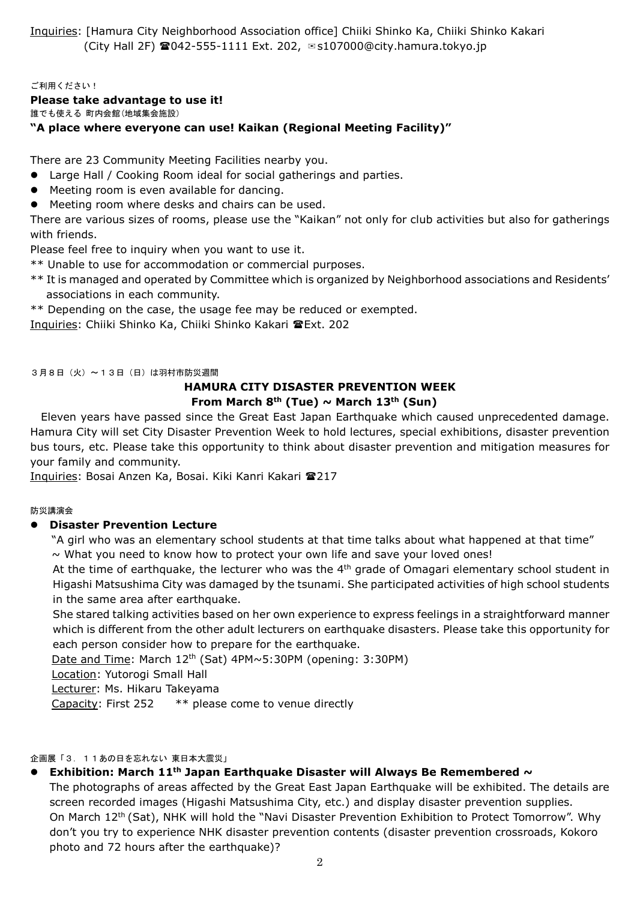Inquiries: [Hamura City Neighborhood Association office] Chiiki Shinko Ka, Chiiki Shinko Kakari (City Hall 2F) 042-555-1111 Ext. 202, ✉s107000@city.hamura.tokyo.jp

#### ご利用ください!

#### **Please take advantage to use it!**

誰でも使える 町内会館(地域集会施設)

#### **"A place where everyone can use! Kaikan (Regional Meeting Facility)"**

There are 23 Community Meeting Facilities nearby you.

- Large Hall / Cooking Room ideal for social gatherings and parties.
- Meeting room is even available for dancing.
- Meeting room where desks and chairs can be used.

There are various sizes of rooms, please use the "Kaikan" not only for club activities but also for gatherings with friends.

Please feel free to inquiry when you want to use it.

- \*\* Unable to use for accommodation or commercial purposes.
- \*\* It is managed and operated by Committee which is organized by Neighborhood associations and Residents' associations in each community.
- \*\* Depending on the case, the usage fee may be reduced or exempted.

Inquiries: Chiiki Shinko Ka, Chiiki Shinko Kakari Ext. 202

3月8日(火)~13日(日)は羽村市防災週間

#### **HAMURA CITY DISASTER PREVENTION WEEK From March 8th (Tue) ~ March 13th (Sun)**

Eleven years have passed since the Great East Japan Earthquake which caused unprecedented damage. Hamura City will set City Disaster Prevention Week to hold lectures, special exhibitions, disaster prevention bus tours, etc. Please take this opportunity to think about disaster prevention and mitigation measures for your family and community.

Inquiries: Bosai Anzen Ka, Bosai. Kiki Kanri Kakari 217

#### 防災講演会

#### **Disaster Prevention Lecture**

"A girl who was an elementary school students at that time talks about what happened at that time"

 $\sim$  What you need to know how to protect your own life and save your loved ones!

At the time of earthquake, the lecturer who was the  $4<sup>th</sup>$  grade of Omagari elementary school student in Higashi Matsushima City was damaged by the tsunami. She participated activities of high school students in the same area after earthquake.

She stared talking activities based on her own experience to express feelings in a straightforward manner which is different from the other adult lecturers on earthquake disasters. Please take this opportunity for each person consider how to prepare for the earthquake.

Date and Time: March 12<sup>th</sup> (Sat) 4PM~5:30PM (opening: 3:30PM)

Location: Yutorogi Small Hall

Lecturer: Ms. Hikaru Takeyama

Capacity: First 252 \*\* please come to venue directly

#### 企画展「3.11あの日を忘れない 東日本大震災」

- **Exhibition: March 11th Japan Earthquake Disaster will Always Be Remembered ~**
	- The photographs of areas affected by the Great East Japan Earthquake will be exhibited. The details are screen recorded images (Higashi Matsushima City, etc.) and display disaster prevention supplies. On March 12th (Sat), NHK will hold the "Navi Disaster Prevention Exhibition to Protect Tomorrow". Why don't you try to experience NHK disaster prevention contents (disaster prevention crossroads, Kokoro photo and 72 hours after the earthquake)?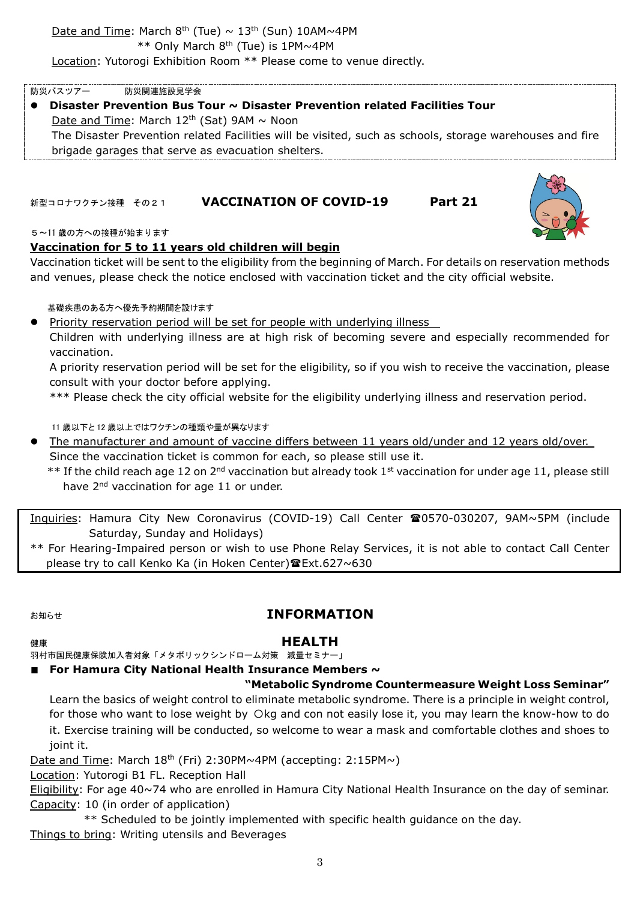防災バスツアー 防災関連施設見学会 **Disaster Prevention Bus Tour ~ Disaster Prevention related Facilities Tour** Date and Time: March  $12<sup>th</sup>$  (Sat) 9AM  $\sim$  Noon The Disaster Prevention related Facilities will be visited, such as schools, storage warehouses and fire brigade garages that serve as evacuation shelters.

## 新型コロナワクチン接種 その21 **VACCINATION OF COVID-19 Part 21**

#### 5~11 歳の方への接種が始まります

## **Vaccination for 5 to 11 years old children will begin**

Vaccination ticket will be sent to the eligibility from the beginning of March. For details on reservation methods and venues, please check the notice enclosed with vaccination ticket and the city official website.

#### 基礎疾患のある方へ優先予約期間を設けます

• Priority reservation period will be set for people with underlying illness

Children with underlying illness are at high risk of becoming severe and especially recommended for vaccination.

A priority reservation period will be set for the eligibility, so if you wish to receive the vaccination, please consult with your doctor before applying.

\*\*\* Please check the city official website for the eligibility underlying illness and reservation period.

11 歳以下と 12 歳以上ではワクチンの種類や量が異なります

- The manufacturer and amount of vaccine differs between 11 years old/under and 12 years old/over. Since the vaccination ticket is common for each, so please still use it.
	- \*\* If the child reach age 12 on 2<sup>nd</sup> vaccination but already took 1<sup>st</sup> vaccination for under age 11, please still have 2<sup>nd</sup> vaccination for age 11 or under.

Inquiries: Hamura City New Coronavirus (COVID-19) Call Center 20570-030207, 9AM~5PM (include Saturday, Sunday and Holidays)

\*\* For Hearing-Impaired person or wish to use Phone Relay Services, it is not able to contact Call Center please try to call Kenko Ka (in Hoken Center) 雷Ext.627~630

# お知らせ **INFORMATION**

## 健康 **HEALTH**

羽村市国民健康保険加入者対象「メタボリックシンドローム対策 減量セミナー」

# ■ **For Hamura City National Health Insurance Members**  $\sim$

# **"Metabolic Syndrome Countermeasure Weight Loss Seminar"**

Learn the basics of weight control to eliminate metabolic syndrome. There is a principle in weight control, for those who want to lose weight by Okg and con not easily lose it, you may learn the know-how to do it. Exercise training will be conducted, so welcome to wear a mask and comfortable clothes and shoes to joint it.

Date and Time: March 18<sup>th</sup> (Fri) 2:30PM~4PM (accepting: 2:15PM~)

Location: Yutorogi B1 FL. Reception Hall

Eligibility: For age 40~74 who are enrolled in Hamura City National Health Insurance on the day of seminar. Capacity: 10 (in order of application)

\*\* Scheduled to be jointly implemented with specific health guidance on the day. Things to bring: Writing utensils and Beverages

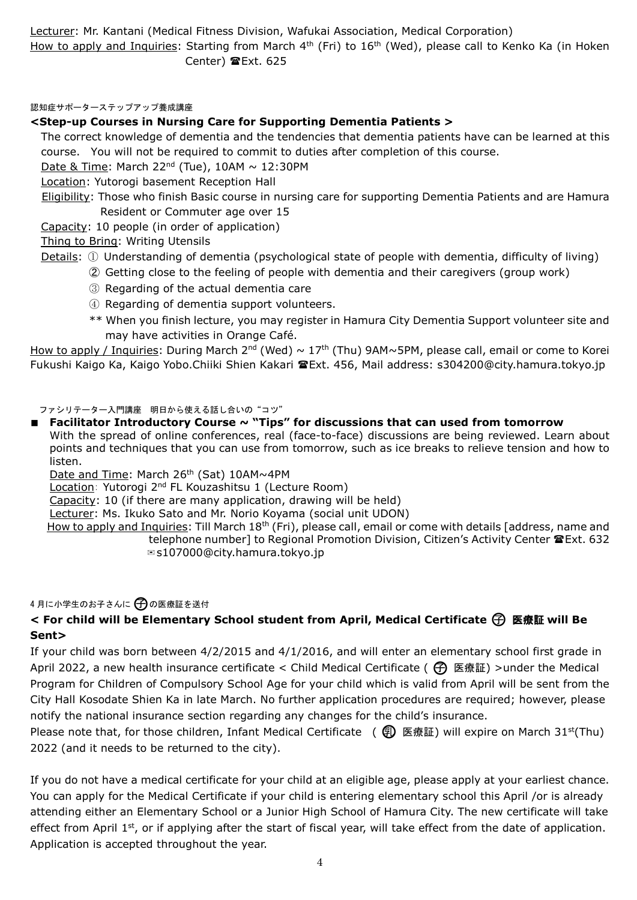Lecturer: Mr. Kantani (Medical Fitness Division, Wafukai Association, Medical Corporation) How to apply and Inquiries: Starting from March 4<sup>th</sup> (Fri) to 16<sup>th</sup> (Wed), please call to Kenko Ka (in Hoken Center) Ext. 625

認知症サポーターステップアップ養成講座

### **<Step-up Courses in Nursing Care for Supporting Dementia Patients >**

The correct knowledge of dementia and the tendencies that dementia patients have can be learned at this course. You will not be required to commit to duties after completion of this course.

Date & Time: March 22<sup>nd</sup> (Tue), 10AM  $\sim$  12:30PM

Location: Yutorogi basement Reception Hall

Eligibility: Those who finish Basic course in nursing care for supporting Dementia Patients and are Hamura Resident or Commuter age over 15

Capacity: 10 people (in order of application)

Thing to Bring: Writing Utensils

Details: ① Understanding of dementia (psychological state of people with dementia, difficulty of living)

- ➁ Getting close to the feeling of people with dementia and their caregivers (group work)
- ③ Regarding of the actual dementia care
- ④ Regarding of dementia support volunteers.
- \*\* When you finish lecture, you may register in Hamura City Dementia Support volunteer site and may have activities in Orange Café.

How to apply / Inquiries: During March 2<sup>nd</sup> (Wed) ~ 17<sup>th</sup> (Thu) 9AM~5PM, please call, email or come to Korei Fukushi Kaigo Ka, Kaigo Yobo.Chiiki Shien Kakari 雷Ext. 456, Mail address: s304200@city.hamura.tokyo.jp

ファシリテーター入門講座 明日から使える話し合いの"コツ"

■ **Facilitator Introductory Course ~ "Tips" for discussions that can used from tomorrow** With the spread of online conferences, real (face-to-face) discussions are being reviewed. Learn about points and techniques that you can use from tomorrow, such as ice breaks to relieve tension and how to listen.

Date and Time: March 26<sup>th</sup> (Sat) 10AM~4PM

Location: Yutorogi 2nd FL Kouzashitsu 1 (Lecture Room)

Capacity: 10 (if there are many application, drawing will be held)

Lecturer: Ms. Ikuko Sato and Mr. Norio Koyama (social unit UDON)

How to apply and Inquiries: Till March 18<sup>th</sup> (Fri), please call, email or come with details [address, name and telephone number] to Regional Promotion Division, Citizen's Activity Center **雪 Ext. 632** ✉s107000@city.hamura.tokyo.jp

#### 4月に小学生のお子さんに 〇 の医療証を送付

## **< For child will be Elementary School student from April, Medical Certificate** ○子 医療証 **will Be Sent>**

If your child was born between 4/2/2015 and 4/1/2016, and will enter an elementary school first grade in April 2022, a new health insurance certificate < Child Medical Certificate ( $\bigoplus$  医療証) >under the Medical Program for Children of Compulsory School Age for your child which is valid from April will be sent from the City Hall Kosodate Shien Ka in late March. No further application procedures are required; however, please notify the national insurance section regarding any changes for the child's insurance.

Please note that, for those children, Infant Medical Certificate (  $\circled{F}$ ) 医療証) will expire on March 31<sup>st</sup>(Thu) 2022 (and it needs to be returned to the city).

If you do not have a medical certificate for your child at an eligible age, please apply at your earliest chance. You can apply for the Medical Certificate if your child is entering elementary school this April /or is already attending either an Elementary School or a Junior High School of Hamura City. The new certificate will take effect from April 1<sup>st</sup>, or if applying after the start of fiscal year, will take effect from the date of application. Application is accepted throughout the year.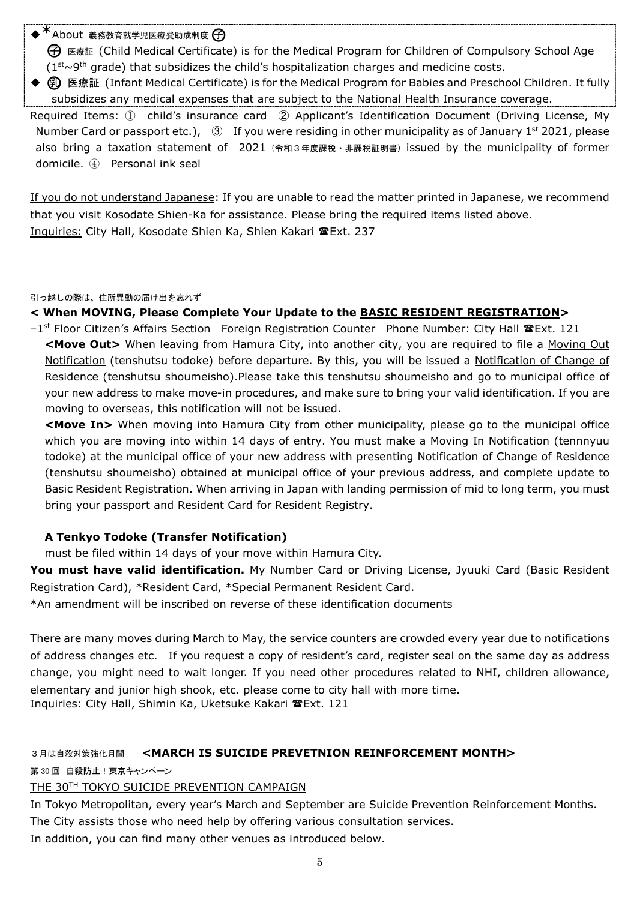$*$  About 義務教育就学児医療費助成制度

○子 医療証 (Child Medical Certificate) is for the Medical Program for Children of Compulsory School Age  $(1<sup>st</sup>~9<sup>th</sup>$  grade) that subsidizes the child's hospitalization charges and medicine costs.

**① 医療証 (Infant Medical Certificate) is for the Medical Program for Babies and Preschool Children. It fully** subsidizes any medical expenses that are subject to the National Health Insurance coverage.

Required Items: ① child's insurance card ② Applicant's Identification Document (Driving License, My Number Card or passport etc.),  $\circled{3}$  If you were residing in other municipality as of January 1<sup>st</sup> 2021, please also bring a taxation statement of 2021 (令和3年度課税・非課税証明書) issued by the municipality of former domicile. ④ Personal ink seal

If you do not understand Japanese: If you are unable to read the matter printed in Japanese, we recommend that you visit Kosodate Shien-Ka for assistance. Please bring the required items listed above. Inquiries: City Hall, Kosodate Shien Ka, Shien Kakari **雪Ext. 237** 

引っ越しの際は、住所異動の届け出を忘れず

**< When MOVING, Please Complete Your Update to the BASIC RESIDENT REGISTRATION>**

 $-1$ <sup>st</sup> Floor Citizen's Affairs Section Foreign Registration Counter Phone Number: City Hall  $\mathbf{\mathcal{F}}$ Ext. 121 **<Move Out>** When leaving from Hamura City, into another city, you are required to file a Moving Out Notification (tenshutsu todoke) before departure. By this, you will be issued a Notification of Change of Residence (tenshutsu shoumeisho).Please take this tenshutsu shoumeisho and go to municipal office of your new address to make move-in procedures, and make sure to bring your valid identification. If you are moving to overseas, this notification will not be issued.

**<Move In>** When moving into Hamura City from other municipality, please go to the municipal office which you are moving into within 14 days of entry. You must make a Moving In Notification (tennnyuu todoke) at the municipal office of your new address with presenting Notification of Change of Residence (tenshutsu shoumeisho) obtained at municipal office of your previous address, and complete update to Basic Resident Registration. When arriving in Japan with landing permission of mid to long term, you must bring your passport and Resident Card for Resident Registry.

## **A Tenkyo Todoke (Transfer Notification)**

must be filed within 14 days of your move within Hamura City.

**You must have valid identification.** My Number Card or Driving License, Jyuuki Card (Basic Resident Registration Card), \*Resident Card, \*Special Permanent Resident Card.

\*An amendment will be inscribed on reverse of these identification documents

There are many moves during March to May, the service counters are crowded every year due to notifications of address changes etc. If you request a copy of resident's card, register seal on the same day as address change, you might need to wait longer. If you need other procedures related to NHI, children allowance, elementary and junior high shook, etc. please come to city hall with more time. Inquiries: City Hall, Shimin Ka, Uketsuke Kakari TExt. 121

# 3月は自殺対策強化月間 **<MARCH IS SUICIDE PREVETNION REINFORCEMENT MONTH>**

第 30 回 自殺防止!東京キャンペーン

## THE 30TH TOKYO SUICIDE PREVENTION CAMPAIGN

In Tokyo Metropolitan, every year's March and September are Suicide Prevention Reinforcement Months. The City assists those who need help by offering various consultation services. In addition, you can find many other venues as introduced below.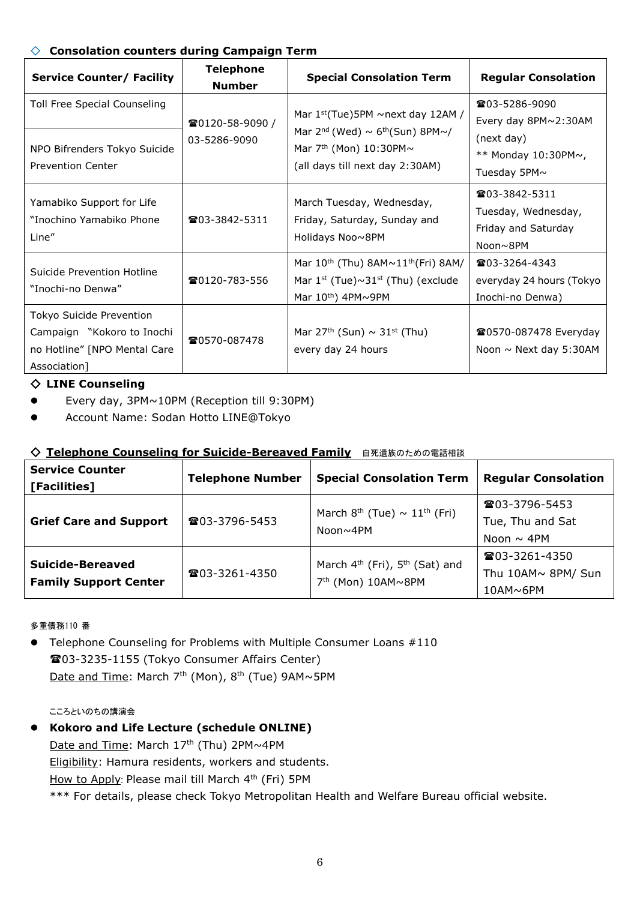## ◇ **Consolation counters during Campaign Term**

| <b>Service Counter/ Facility</b>                                                                       | <b>Telephone</b><br><b>Number</b> | <b>Special Consolation Term</b>                                                                                                                                             | <b>Regular Consolation</b>                                                                               |
|--------------------------------------------------------------------------------------------------------|-----------------------------------|-----------------------------------------------------------------------------------------------------------------------------------------------------------------------------|----------------------------------------------------------------------------------------------------------|
| Toll Free Special Counseling<br>NPO Bifrenders Tokyo Suicide<br><b>Prevention Center</b>               | ☎0120-58-9090 /<br>03-5286-9090   | Mar $1st(Tue)5PM \sim next day 12AM /$<br>Mar $2^{nd}$ (Wed) $\sim$ 6 <sup>th</sup> (Sun) 8PM $\sim$ /<br>Mar $7th$ (Mon) 10:30PM $\sim$<br>(all days till next day 2:30AM) | <b>雪03-5286-9090</b><br>Every day 8PM~2:30AM<br>(next day)<br>** Monday $10:30PM \sim$ ,<br>Tuesday 5PM~ |
| Yamabiko Support for Life<br>"Inochino Yamabiko Phone<br>Line"                                         | <b>雷03-3842-5311</b>              | March Tuesday, Wednesday,<br>Friday, Saturday, Sunday and<br>Holidays Noo~8PM                                                                                               | $\textbf{203-3842-5311}$<br>Tuesday, Wednesday,<br>Friday and Saturday<br>Noon~8PM                       |
| Suicide Prevention Hotline<br>"Inochi-no Denwa"                                                        | 雪0120-783-556                     | Mar $10^{th}$ (Thu) $8AM \sim 11^{th}$ (Fri) $8AM/$<br>Mar $1^{st}$ (Tue) $\sim$ 31 <sup>st</sup> (Thu) (exclude<br>Mar $10^{th}$ ) 4PM $\sim$ 9PM                          | <b>雷03-3264-4343</b><br>everyday 24 hours (Tokyo<br>Inochi-no Denwa)                                     |
| Tokyo Suicide Prevention<br>Campaign "Kokoro to Inochi<br>no Hotline" [NPO Mental Care<br>Association] | ☎0570-087478                      | Mar 27 <sup>th</sup> (Sun) $\sim$ 31 <sup>st</sup> (Thu)<br>every day 24 hours                                                                                              | <b>■0570-087478 Everyday</b><br>Noon $\sim$ Next day 5:30AM                                              |

## ◇ **LINE Counseling**

- Every day, 3PM~10PM (Reception till 9:30PM)
- Account Name: Sodan Hotto LINE@Tokyo

## ◇ **Telephone Counseling for Suicide-Bereaved Family** 自死遺族のための電話相談

| <b>Service Counter</b><br>[Facilities]                  | <b>Telephone Number</b> | <b>Special Consolation Term</b>                                                          | <b>Regular Consolation</b>                                             |  |
|---------------------------------------------------------|-------------------------|------------------------------------------------------------------------------------------|------------------------------------------------------------------------|--|
| <b>Grief Care and Support</b>                           | <b>雷03-3796-5453</b>    | March $8^{th}$ (Tue) $\sim 11^{th}$ (Fri)<br>Noon~4PM                                    | <b>雷03-3796-5453</b><br>Tue, Thu and Sat<br>Noon $\sim$ 4PM            |  |
| <b>Suicide-Bereaved</b><br><b>Family Support Center</b> | <b>雷03-3261-4350</b>    | March 4 <sup>th</sup> (Fri), 5 <sup>th</sup> (Sat) and<br>7 <sup>th</sup> (Mon) 10AM~8PM | $\textcircled{2}03 - 3261 - 4350$<br>Thu 10AM~ 8PM/ Sun<br>$10$ AM~6PM |  |

多重債務110 番

• Telephone Counseling for Problems with Multiple Consumer Loans #110 03-3235-1155 (Tokyo Consumer Affairs Center) Date and Time: March 7<sup>th</sup> (Mon), 8<sup>th</sup> (Tue) 9AM~5PM

#### こころといのちの講演会

 **Kokoro and Life Lecture (schedule ONLINE)**  Date and Time: March 17<sup>th</sup> (Thu) 2PM~4PM Eligibility: Hamura residents, workers and students. How to Apply: Please mail till March 4<sup>th</sup> (Fri) 5PM \*\*\* For details, please check Tokyo Metropolitan Health and Welfare Bureau official website.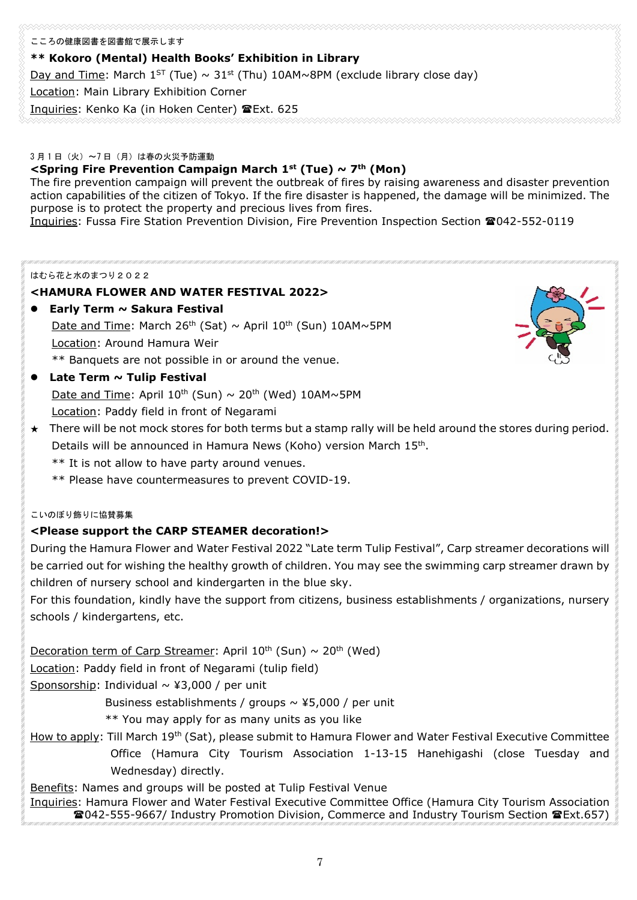#### こころの健康図書を図書館で展示します

## **\*\* Kokoro (Mental) Health Books' Exhibition in Library**

Day and Time: March  $1^{ST}$  (Tue)  $\sim 31^{st}$  (Thu) 10AM~8PM (exclude library close day)

Location: Main Library Exhibition Corner

Inquiries: Kenko Ka (in Hoken Center) Ext. 625

#### 3 月 1 日(火)~7 日(月)は春の火災予防運動

## **<Spring Fire Prevention Campaign March 1st (Tue) ~ 7th (Mon)**

The fire prevention campaign will prevent the outbreak of fires by raising awareness and disaster prevention action capabilities of the citizen of Tokyo. If the fire disaster is happened, the damage will be minimized. The purpose is to protect the property and precious lives from fires.

Inquiries: Fussa Fire Station Prevention Division, Fire Prevention Inspection Section 2042-552-0119

#### はむら花と水のまつり2022

## **<HAMURA FLOWER AND WATER FESTIVAL 2022>**

- **Early Term ~ Sakura Festival** Date and Time: March 26<sup>th</sup> (Sat)  $\sim$  April 10<sup>th</sup> (Sun) 10AM $\sim$ 5PM Location: Around Hamura Weir \*\* Banquets are not possible in or around the venue.
- **Late Term ~ Tulip Festival**

Date and Time: April  $10^{th}$  (Sun)  $\sim 20^{th}$  (Wed) 10AM $\sim$ 5PM Location: Paddy field in front of Negarami

- $\star$  There will be not mock stores for both terms but a stamp rally will be held around the stores during period. Details will be announced in Hamura News (Koho) version March 15th.
	- \*\* It is not allow to have party around venues.
	- \*\* Please have countermeasures to prevent COVID-19.

#### こいのぼり飾りに協賛募集

## **<Please support the CARP STEAMER decoration!>**

During the Hamura Flower and Water Festival 2022 "Late term Tulip Festival", Carp streamer decorations will be carried out for wishing the healthy growth of children. You may see the swimming carp streamer drawn by children of nursery school and kindergarten in the blue sky.

For this foundation, kindly have the support from citizens, business establishments / organizations, nursery schools / kindergartens, etc.

Decoration term of Carp Streamer: April  $10^{th}$  (Sun)  $\sim 20^{th}$  (Wed)

Location: Paddy field in front of Negarami (tulip field)

Sponsorship: Individual  $\sim$  ¥3,000 / per unit

Business establishments / groups  $\sim$  ¥5,000 / per unit

\*\* You may apply for as many units as you like

How to apply: Till March 19<sup>th</sup> (Sat), please submit to Hamura Flower and Water Festival Executive Committee Office (Hamura City Tourism Association 1-13-15 Hanehigashi (close Tuesday and Wednesday) directly.

Benefits: Names and groups will be posted at Tulip Festival Venue Inquiries: Hamura Flower and Water Festival Executive Committee Office (Hamura City Tourism Association 042-555-9667/ Industry Promotion Division, Commerce and Industry Tourism Section Ext.657)

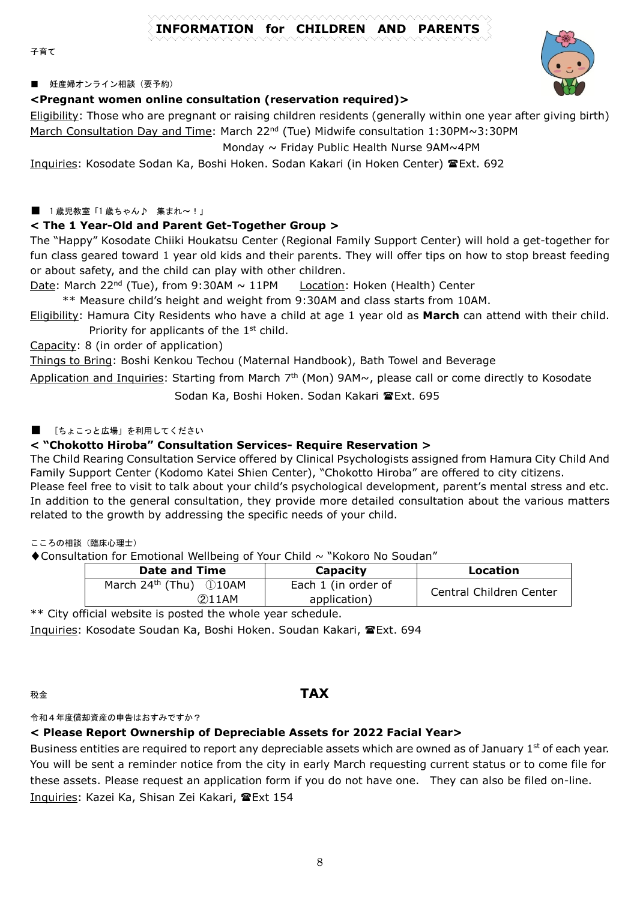# **INFORMATION for CHILDREN AND PARENTS**

子育て

#### ■ 妊産婦オンライン相談(要予約)

#### **<Pregnant women online consultation (reservation required)>**

Eligibility: Those who are pregnant or raising children residents (generally within one year after giving birth) March Consultation Day and Time: March 22<sup>nd</sup> (Tue) Midwife consultation 1:30PM~3:30PM

Monday ~ Friday Public Health Nurse 9AM~4PM

Inquiries: Kosodate Sodan Ka, Boshi Hoken. Sodan Kakari (in Hoken Center) TExt. 692

#### ■ 1歳児教室「1歳ちゃん♪ 集まれ~!」

## **< The 1 Year-Old and Parent Get-Together Group >**

The "Happy" Kosodate Chiiki Houkatsu Center (Regional Family Support Center) will hold a get-together for fun class geared toward 1 year old kids and their parents. They will offer tips on how to stop breast feeding or about safety, and the child can play with other children.

Date: March 22<sup>nd</sup> (Tue), from 9:30AM ~ 11PM Location: Hoken (Health) Center

\*\* Measure child's height and weight from 9:30AM and class starts from 10AM.

Eligibility: Hamura City Residents who have a child at age 1 year old as **March** can attend with their child. Priority for applicants of the 1<sup>st</sup> child.

Capacity: 8 (in order of application)

Things to Bring: Boshi Kenkou Techou (Maternal Handbook), Bath Towel and Beverage

Application and Inquiries: Starting from March  $7<sup>th</sup>$  (Mon) 9AM $\sim$ , please call or come directly to Kosodate

Sodan Ka, Boshi Hoken. Sodan Kakari **雪Ext. 695** 

## ■ [ちょこっと広場」を利用してください

## **< "Chokotto Hiroba" Consultation Services- Require Reservation >**

The Child Rearing Consultation Service offered by Clinical Psychologists assigned from Hamura City Child And Family Support Center (Kodomo Katei Shien Center), "Chokotto Hiroba" are offered to city citizens.

Please feel free to visit to talk about your child's psychological development, parent's mental stress and etc. In addition to the general consultation, they provide more detailed consultation about the various matters related to the growth by addressing the specific needs of your child.

こころの相談(臨床心理士)

◆Consultation for Emotional Wellbeing of Your Child ~ "Kokoro No Soudan"

| Date and Time                      | Capacity            | Location                |
|------------------------------------|---------------------|-------------------------|
| March $24th$ (Thu) $\bigcirc$ 10AM | Each 1 (in order of | Central Children Center |
| (2)11AM                            | application)        |                         |

\*\* City official website is posted the whole year schedule. Inquiries: Kosodate Soudan Ka, Boshi Hoken. Soudan Kakari, Ext. 694

# 税金 **TAX**

令和4年度償却資産の申告はおすみですか?

## **< Please Report Ownership of Depreciable Assets for 2022 Facial Year>**

Business entities are required to report any depreciable assets which are owned as of January 1<sup>st</sup> of each year. You will be sent a reminder notice from the city in early March requesting current status or to come file for these assets. Please request an application form if you do not have one. They can also be filed on-line. Inquiries: Kazei Ka, Shisan Zei Kakari, <sup>2</sup>Ext 154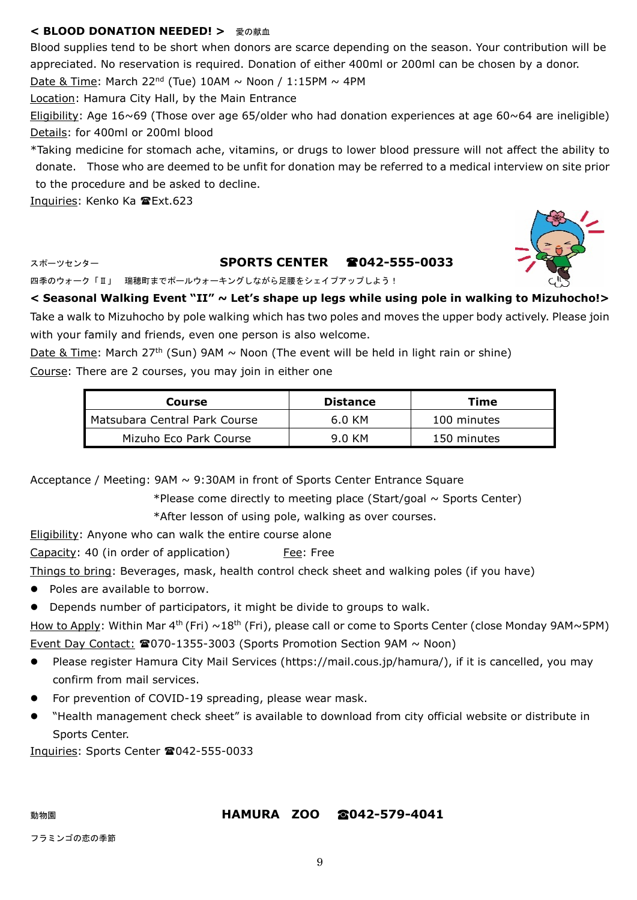## < BLOOD DONATION NEEDED! > 愛の献血

Blood supplies tend to be short when donors are scarce depending on the season. Your contribution will be appreciated. No reservation is required. Donation of either 400ml or 200ml can be chosen by a donor.

Date & Time: March 22<sup>nd</sup> (Tue) 10AM  $\sim$  Noon / 1:15PM  $\sim$  4PM

Location: Hamura City Hall, by the Main Entrance

Eligibility: Age 16~69 (Those over age 65/older who had donation experiences at age 60~64 are ineligible) Details: for 400ml or 200ml blood

\*Taking medicine for stomach ache, vitamins, or drugs to lower blood pressure will not affect the ability to donate. Those who are deemed to be unfit for donation may be referred to a medical interview on site prior to the procedure and be asked to decline.

Inquiries: Kenko Ka Ext.623

# スポーツセンター **SPORTS CENTER 042-555-0033**

四季のウォーク「Ⅱ」 瑞穂町までポールウォーキングしながら足腰をシェイプアップしよう!

**< Seasonal Walking Event "II" ~ Let's shape up legs while using pole in walking to Mizuhocho!>** Take a walk to Mizuhocho by pole walking which has two poles and moves the upper body actively. Please join with your family and friends, even one person is also welcome.

Date & Time: March 27<sup>th</sup> (Sun) 9AM  $\sim$  Noon (The event will be held in light rain or shine) Course: There are 2 courses, you may join in either one

| Course                        | <b>Distance</b> | Time        |
|-------------------------------|-----------------|-------------|
| Matsubara Central Park Course | 6.0 KM          | 100 minutes |
| Mizuho Eco Park Course        | 9.0 KM          | 150 minutes |

Acceptance / Meeting: 9AM ~ 9:30AM in front of Sports Center Entrance Square

\*Please come directly to meeting place (Start/goal  $\sim$  Sports Center)

\*After lesson of using pole, walking as over courses.

Eligibility: Anyone who can walk the entire course alone

Capacity: 40 (in order of application) Fee: Free

Things to bring: Beverages, mask, health control check sheet and walking poles (if you have)

- Poles are available to borrow.
- Depends number of participators, it might be divide to groups to walk.

How to Apply: Within Mar 4<sup>th</sup> (Fri) ~18<sup>th</sup> (Fri), please call or come to Sports Center (close Monday 9AM~5PM) Event Day Contact:  $\mathbf{\Omega}$ 070-1355-3003 (Sports Promotion Section 9AM  $\sim$  Noon)

- Please register Hamura City Mail Services (https://mail.cous.jp/hamura/), if it is cancelled, you may confirm from mail services.
- For prevention of COVID-19 spreading, please wear mask.
- "Health management check sheet" is available to download from city official website or distribute in Sports Center.

Inquiries: Sports Center 2042-555-0033

## 動物園 **HAMURA ZOO ☎042-579-4041**